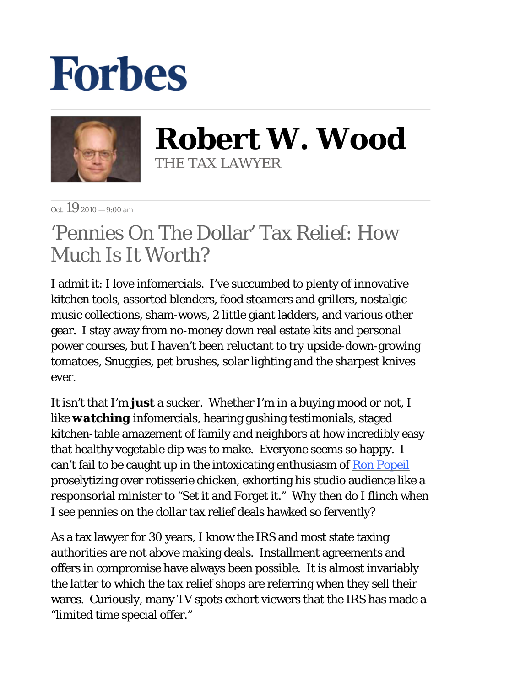## **Forbes**



**Robert W. Wood** THE TAX LAWYER

 $Oct$  19 2010  $-9:00 \text{ am}$ 

## 'Pennies On The Dollar' Tax Relief: How Much Is It Worth?

I admit it: I love infomercials. I've succumbed to plenty of innovative kitchen tools, assorted blenders, food steamers and grillers, nostalgic music collections, sham-wows, 2 little giant ladders, and various other gear. I stay away from no-money down real estate kits and personal power courses, but I haven't been reluctant to try upside-down-growing tomatoes, Snuggies, pet brushes, solar lighting and the sharpest knives ever.

It isn't that I'm *just* a sucker. Whether I'm in a buying mood or not, I like *watching* infomercials, hearing gushing testimonials, staged kitchen-table amazement of family and neighbors at how incredibly easy that healthy vegetable dip was to make. Everyone seems so happy. I can't fail to be caught up in the intoxicating enthusiasm of Ron Popeil proselytizing over rotisserie chicken, exhorting his studio audience like a responsorial minister to "Set it and Forget it." Why then do I flinch when I see pennies on the dollar tax relief deals hawked so fervently?

As a tax lawyer for 30 years, I know the IRS and most state taxing authorities are not above making deals. Installment agreements and offers in compromise have always been possible. It is almost invariably the latter to which the tax relief shops are referring when they sell their wares. Curiously, many TV spots exhort viewers that the IRS has made a "limited time special offer."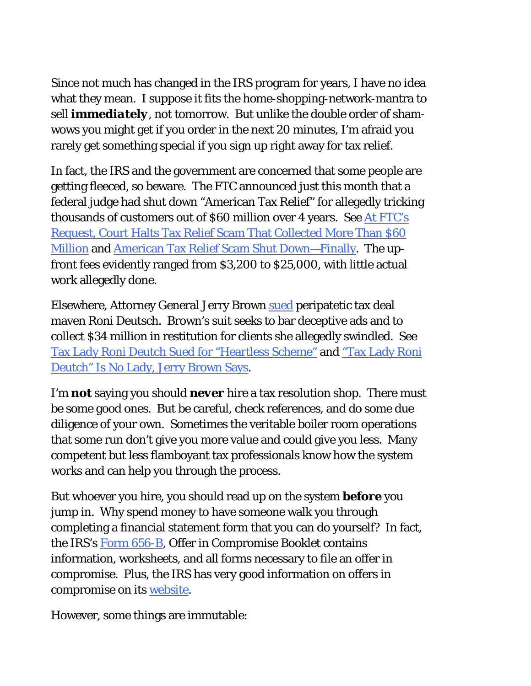Since not much has changed in the IRS program for years, I have no idea what they mean. I suppose it fits the home-shopping-network-mantra to sell *immediately*, not tomorrow. But unlike the double order of shamwows you might get if you order in the next 20 minutes, I'm afraid you rarely get something special if you sign up right away for tax relief.

In fact, the IRS and the government are concerned that some people are getting fleeced, so beware. The FTC announced just this month that a federal judge had shut down "American Tax Relief" for allegedly tricking thousands of customers out of \$60 million over 4 years. See At FTC's Request, Court Halts Tax Relief Scam That Collected More Than \$60 Million and American Tax Relief Scam Shut Down—Finally. The upfront fees evidently ranged from \$3,200 to \$25,000, with little actual work allegedly done.

Elsewhere, Attorney General Jerry Brown sued peripatetic tax deal maven Roni Deutsch. Brown's suit seeks to bar deceptive ads and to collect \$34 million in restitution for clients she allegedly swindled. See Tax Lady Roni Deutch Sued for "Heartless Scheme" and "Tax Lady Roni Deutch" Is No Lady, Jerry Brown Says.

I'm *not* saying you should *never* hire a tax resolution shop. There must be some good ones. But be careful, check references, and do some due diligence of your own. Sometimes the veritable boiler room operations that some run don't give you more value and could give you less. Many competent but less flamboyant tax professionals know how the system works and can help you through the process.

But whoever you hire, you should read up on the system *before* you jump in. Why spend money to have someone walk you through completing a financial statement form that you can do yourself? In fact, the IRS's Form 656-B, Offer in Compromise Booklet contains information, worksheets, and all forms necessary to file an offer in compromise. Plus, the IRS has very good information on offers in compromise on its website.

However, some things are immutable: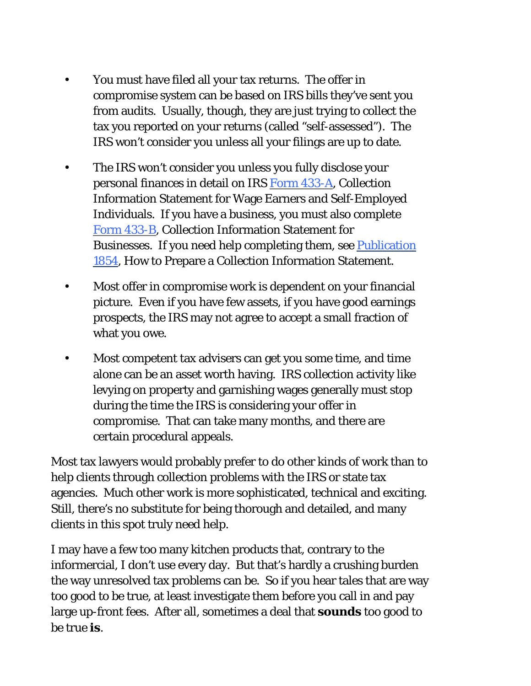- You must have filed all your tax returns. The offer in compromise system can be based on IRS bills they've sent you from audits. Usually, though, they are just trying to collect the tax you reported on your returns (called "self-assessed"). The IRS won't consider you unless all your filings are up to date. •
- The IRS won't consider you unless you fully disclose your personal finances in detail on IRS Form 433-A, Collection Information Statement for Wage Earners and Self-Employed Individuals. If you have a business, you must also complete Form 433-B, Collection Information Statement for Businesses. If you need help completing them, see Publication 1854, How to Prepare a Collection Information Statement. •
- Most offer in compromise work is dependent on your financial picture. Even if you have few assets, if you have good earnings prospects, the IRS may not agree to accept a small fraction of what you owe. •
- Most competent tax advisers can get you some time, and time alone can be an asset worth having. IRS collection activity like levying on property and garnishing wages generally must stop during the time the IRS is considering your offer in compromise. That can take many months, and there are certain procedural appeals. •

Most tax lawyers would probably prefer to do other kinds of work than to help clients through collection problems with the IRS or state tax agencies. Much other work is more sophisticated, technical and exciting. Still, there's no substitute for being thorough and detailed, and many clients in this spot truly need help.

I may have a few too many kitchen products that, contrary to the informercial, I don't use every day. But that's hardly a crushing burden the way unresolved tax problems can be. So if you hear tales that are way too good to be true, at least investigate them before you call in and pay large up-front fees. After all, sometimes a deal that *sounds* too good to be true *is*.